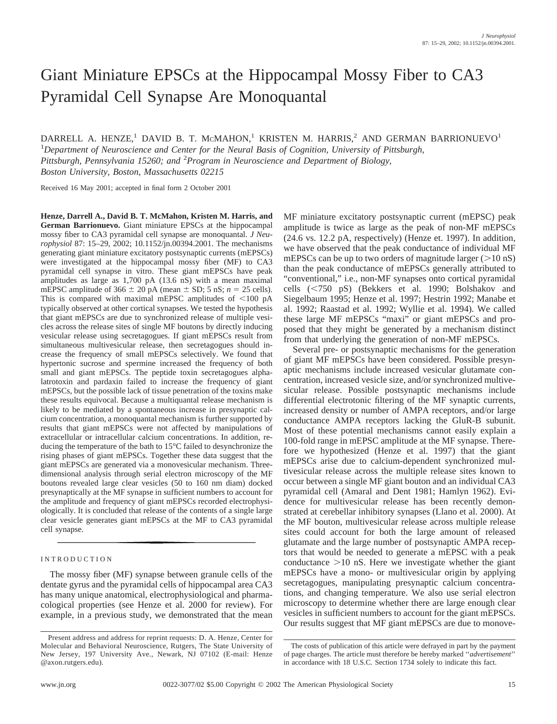# Giant Miniature EPSCs at the Hippocampal Mossy Fiber to CA3 Pyramidal Cell Synapse Are Monoquantal

DARRELL A. HENZE,<sup>1</sup> DAVID B. T. McMAHON,<sup>1</sup> KRISTEN M. HARRIS,<sup>2</sup> AND GERMAN BARRIONUEVO<sup>1</sup>

1 *Department of Neuroscience and Center for the Neural Basis of Cognition, University of Pittsburgh,* Pittsburgh, Pennsylvania 15260; and <sup>2</sup>Program in Neuroscience and Department of Biology,

*Boston University, Boston, Massachusetts 02215*

Received 16 May 2001; accepted in final form 2 October 2001

**Henze, Darrell A., David B. T. McMahon, Kristen M. Harris, and German Barrionuevo.** Giant miniature EPSCs at the hippocampal mossy fiber to CA3 pyramidal cell synapse are monoquantal. *J Neurophysiol* 87: 15–29, 2002; 10.1152/jn.00394.2001. The mechanisms generating giant miniature excitatory postsynaptic currents (mEPSCs) were investigated at the hippocampal mossy fiber (MF) to CA3 pyramidal cell synapse in vitro. These giant mEPSCs have peak amplitudes as large as 1,700 pA (13.6 nS) with a mean maximal mEPSC amplitude of  $366 \pm 20$  pA (mean  $\pm$  SD;  $5$  nS;  $n = 25$  cells). This is compared with maximal mEPSC amplitudes of  $\leq 100$  pA typically observed at other cortical synapses. We tested the hypothesis that giant mEPSCs are due to synchronized release of multiple vesicles across the release sites of single MF boutons by directly inducing vesicular release using secretagogues. If giant mEPSCs result from simultaneous multivesicular release, then secretagogues should increase the frequency of small mEPSCs selectively. We found that hypertonic sucrose and spermine increased the frequency of both small and giant mEPSCs. The peptide toxin secretagogues alphalatrotoxin and pardaxin failed to increase the frequency of giant mEPSCs, but the possible lack of tissue penetration of the toxins make these results equivocal. Because a multiquantal release mechanism is likely to be mediated by a spontaneous increase in presynaptic calcium concentration, a monoquantal mechanism is further supported by results that giant mEPSCs were not affected by manipulations of extracellular or intracellular calcium concentrations. In addition, reducing the temperature of the bath to 15°C failed to desynchronize the rising phases of giant mEPSCs. Together these data suggest that the giant mEPSCs are generated via a monovesicular mechanism. Threedimensional analysis through serial electron microscopy of the MF boutons revealed large clear vesicles (50 to 160 nm diam) docked presynaptically at the MF synapse in sufficient numbers to account for the amplitude and frequency of giant mEPSCs recorded electrophysiologically. It is concluded that release of the contents of a single large clear vesicle generates giant mEPSCs at the MF to CA3 pyramidal cell synapse.

## INTRODUCTION

The mossy fiber (MF) synapse between granule cells of the dentate gyrus and the pyramidal cells of hippocampal area CA3 has many unique anatomical, electrophysiological and pharmacological properties (see Henze et al. 2000 for review). For example, in a previous study, we demonstrated that the mean MF miniature excitatory postsynaptic current (mEPSC) peak amplitude is twice as large as the peak of non-MF mEPSCs (24.6 vs. 12.2 pA, respectively) (Henze et. 1997). In addition, we have observed that the peak conductance of individual MF mEPSCs can be up to two orders of magnitude larger  $(>10 \text{ nS})$ than the peak conductance of mEPSCs generally attributed to "conventional," i.e., non-MF synapses onto cortical pyramidal cells (750 pS) (Bekkers et al. 1990; Bolshakov and Siegelbaum 1995; Henze et al. 1997; Hestrin 1992; Manabe et al. 1992; Raastad et al. 1992; Wyllie et al. 1994). We called these large MF mEPSCs "maxi" or giant mEPSCs and proposed that they might be generated by a mechanism distinct from that underlying the generation of non-MF mEPSCs.

Several pre- or postsynaptic mechanisms for the generation of giant MF mEPSCs have been considered. Possible presynaptic mechanisms include increased vesicular glutamate concentration, increased vesicle size, and/or synchronized multivesicular release. Possible postsynaptic mechanisms include differential electrotonic filtering of the MF synaptic currents, increased density or number of AMPA receptors, and/or large conductance AMPA receptors lacking the GluR-B subunit. Most of these potential mechanisms cannot easily explain a 100-fold range in mEPSC amplitude at the MF synapse. Therefore we hypothesized (Henze et al. 1997) that the giant mEPSCs arise due to calcium-dependent synchronized multivesicular release across the multiple release sites known to occur between a single MF giant bouton and an individual CA3 pyramidal cell (Amaral and Dent 1981; Hamlyn 1962). Evidence for multivesicular release has been recently demonstrated at cerebellar inhibitory synapses (Llano et al. 2000). At the MF bouton, multivesicular release across multiple release sites could account for both the large amount of released glutamate and the large number of postsynaptic AMPA receptors that would be needed to generate a mEPSC with a peak conductance  $>10$  nS. Here we investigate whether the giant mEPSCs have a mono- or multivesicular origin by applying secretagogues, manipulating presynaptic calcium concentrations, and changing temperature. We also use serial electron microscopy to determine whether there are large enough clear vesicles in sufficient numbers to account for the giant mEPSCs. Our results suggest that MF giant mEPSCs are due to monove-

Present address and address for reprint requests: D. A. Henze, Center for Molecular and Behavioral Neuroscience, Rutgers, The State University of New Jersey, 197 University Ave., Newark, NJ 07102 (E-mail: Henze @axon.rutgers.edu).

The costs of publication of this article were defrayed in part by the payment of page charges. The article must therefore be hereby marked ''*advertisement*'' in accordance with 18 U.S.C. Section 1734 solely to indicate this fact.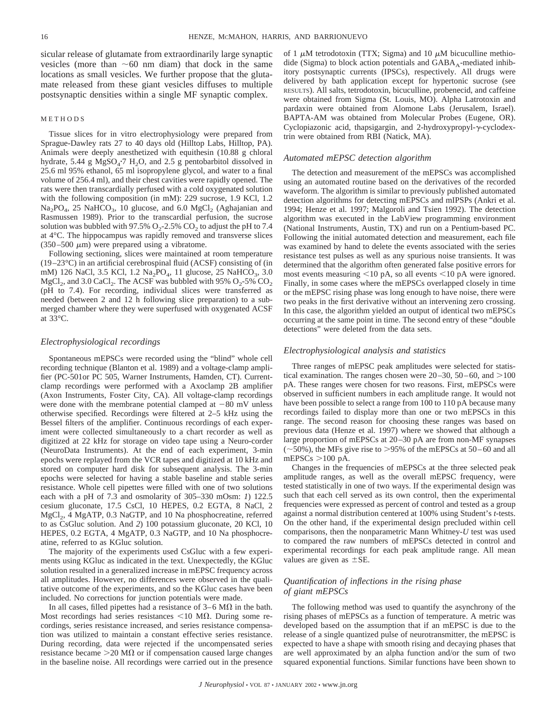sicular release of glutamate from extraordinarily large synaptic vesicles (more than  $\sim 60$  nm diam) that dock in the same locations as small vesicles. We further propose that the glutamate released from these giant vesicles diffuses to multiple postsynaptic densities within a single MF synaptic complex.

#### METHODS

Tissue slices for in vitro electrophysiology were prepared from Sprague-Dawley rats 27 to 40 days old (Hilltop Labs, Hilltop, PA). Animals were deeply anesthetized with equithesin (10.88 g chloral hydrate, 5.44 g  $MgSO<sub>4</sub>·7 H<sub>2</sub>O$ , and 2.5 g pentobarbitol dissolved in 25.6 ml 95% ethanol, 65 ml isopropylene glycol, and water to a final volume of 256.4 ml), and their chest cavities were rapidly opened. The rats were then transcardially perfused with a cold oxygenated solution with the following composition (in mM): 229 sucrose, 1.9 KCl, 1.2  $Na<sub>2</sub>PO<sub>4</sub>$ , 25 NaHCO<sub>3</sub>, 10 glucose, and 6.0 MgCl<sub>2</sub> (Aghajanian and Rasmussen 1989). Prior to the transcardial perfusion, the sucrose solution was bubbled with 97.5%  $O_2$ -2.5%  $CO_2$  to adjust the pH to 7.4 at 4°C. The hippocampus was rapidly removed and transverse slices  $(350-500 \mu m)$  were prepared using a vibratome.

Following sectioning, slices were maintained at room temperature  $(19-23\degree C)$  in an artificial cerebrospinal fluid (ACSF) consisting of (in mM) 126 NaCl, 3.5 KCl, 1.2 Na<sub>2</sub>PO<sub>4</sub>, 11 glucose, 25 NaHCO<sub>3</sub>, 3.0 MgCl<sub>2</sub>, and 3.0 CaCl<sub>2</sub>. The ACSF was bubbled with 95%  $O_2$ -5% CO<sub>2</sub> (pH to 7.4). For recording, individual slices were transferred as needed (between 2 and 12 h following slice preparation) to a submerged chamber where they were superfused with oxygenated ACSF at 33°C.

#### *Electrophysiological recordings*

Spontaneous mEPSCs were recorded using the "blind" whole cell recording technique (Blanton et al. 1989) and a voltage-clamp amplifier (PC-501or PC 505, Warner Instruments, Hamden, CT). Currentclamp recordings were performed with a Axoclamp 2B amplifier (Axon Instruments, Foster City, CA). All voltage-clamp recordings were done with the membrane potential clamped at  $-80$  mV unless otherwise specified. Recordings were filtered at 2–5 kHz using the Bessel filters of the amplifier. Continuous recordings of each experiment were collected simultaneously to a chart recorder as well as digitized at 22 kHz for storage on video tape using a Neuro-corder (NeuroData Instruments). At the end of each experiment, 3-min epochs were replayed from the VCR tapes and digitized at 10 kHz and stored on computer hard disk for subsequent analysis. The 3-min epochs were selected for having a stable baseline and stable series resistance. Whole cell pipettes were filled with one of two solutions each with a pH of 7.3 and osmolarity of 305–330 mOsm: *1*) 122.5 cesium gluconate, 17.5 CsCl, 10 HEPES, 0.2 EGTA, 8 NaCl, 2 MgCl<sub>2</sub>, 4 MgATP, 0.3 NaGTP, and 10 Na phosphocreatine, referred to as CsGluc solution. And *2*) 100 potassium gluconate, 20 KCl, 10 HEPES, 0.2 EGTA, 4 MgATP, 0.3 NaGTP, and 10 Na phosphocreatine, referred to as KGluc solution.

The majority of the experiments used CsGluc with a few experiments using KGluc as indicated in the text. Unexpectedly, the KGluc solution resulted in a generalized increase in mEPSC frequency across all amplitudes. However, no differences were observed in the qualitative outcome of the experiments, and so the KGluc cases have been included. No corrections for junction potentials were made.

In all cases, filled pipettes had a resistance of  $3-6$  M $\Omega$  in the bath. Most recordings had series resistances  $\leq 10$  M $\Omega$ . During some recordings, series resistance increased, and series resistance compensation was utilized to maintain a constant effective series resistance. During recording, data were rejected if the uncompensated series resistance became  $>20$  M $\Omega$  or if compensation caused large changes in the baseline noise. All recordings were carried out in the presence of 1  $\mu$ M tetrodotoxin (TTX; Sigma) and 10  $\mu$ M bicuculline methiodide (Sigma) to block action potentials and  $GABA_{\Delta}$ -mediated inhibitory postsynaptic currents (IPSCs), respectively. All drugs were delivered by bath application except for hypertonic sucrose (see RESULTS). All salts, tetrodotoxin, bicuculline, probenecid, and caffeine were obtained from Sigma (St. Louis, MO). Alpha Latrotoxin and pardaxin were obtained from Alomone Labs (Jerusalem, Israel). BAPTA-AM was obtained from Molecular Probes (Eugene, OR). Cyclopiazonic acid, thapsigargin, and 2-hydroxypropyl-y-cyclodextrin were obtained from RBI (Natick, MA).

#### *Automated mEPSC detection algorithm*

The detection and measurement of the mEPSCs was accomplished using an automated routine based on the derivatives of the recorded waveform. The algorithm is similar to previously published automated detection algorithms for detecting mEPSCs and mIPSPs (Ankri et al. 1994; Henze et al. 1997; Malgoroli and Tsien 1992). The detection algorithm was executed in the LabView programming environment (National Instruments, Austin, TX) and run on a Pentium-based PC. Following the initial automated detection and measurement, each file was examined by hand to delete the events associated with the series resistance test pulses as well as any spurious noise transients. It was determined that the algorithm often generated false positive errors for most events measuring  $\leq 10$  pA, so all events  $\leq 10$  pA were ignored. Finally, in some cases where the mEPSCs overlapped closely in time or the mEPSC rising phase was long enough to have noise, there were two peaks in the first derivative without an intervening zero crossing. In this case, the algorithm yielded an output of identical two mEPSCs occurring at the same point in time. The second entry of these "double detections" were deleted from the data sets.

#### *Electrophysiological analysis and statistics*

Three ranges of mEPSC peak amplitudes were selected for statistical examination. The ranges chosen were  $20-30$ ,  $50-60$ , and  $>100$ pA. These ranges were chosen for two reasons. First, mEPSCs were observed in sufficient numbers in each amplitude range. It would not have been possible to select a range from 100 to 110 pA because many recordings failed to display more than one or two mEPSCs in this range. The second reason for choosing these ranges was based on previous data (Henze et al. 1997) where we showed that although a large proportion of mEPSCs at 20–30 pA are from non-MF synapses  $(\sim 50\%)$ , the MFs give rise to  $> 95\%$  of the mEPSCs at 50–60 and all mEPSCs  $>100$  pA.

Changes in the frequencies of mEPSCs at the three selected peak amplitude ranges, as well as the overall mEPSC frequency, were tested statistically in one of two ways. If the experimental design was such that each cell served as its own control, then the experimental frequencies were expressed as percent of control and tested as a group against a normal distribution centered at 100% using Student's *t*-tests. On the other hand, if the experimental design precluded within cell comparisons, then the nonparametric Mann Whitney-*U* test was used to compared the raw numbers of mEPSCs detected in control and experimental recordings for each peak amplitude range. All mean values are given as  $\pm$ SE.

## *Quantification of inflections in the rising phase of giant mEPSCs*

The following method was used to quantify the asynchrony of the rising phases of mEPSCs as a function of temperature. A metric was developed based on the assumption that if an mEPSC is due to the release of a single quantized pulse of neurotransmitter, the mEPSC is expected to have a shape with smooth rising and decaying phases that are well approximated by an alpha function and/or the sum of two squared exponential functions. Similar functions have been shown to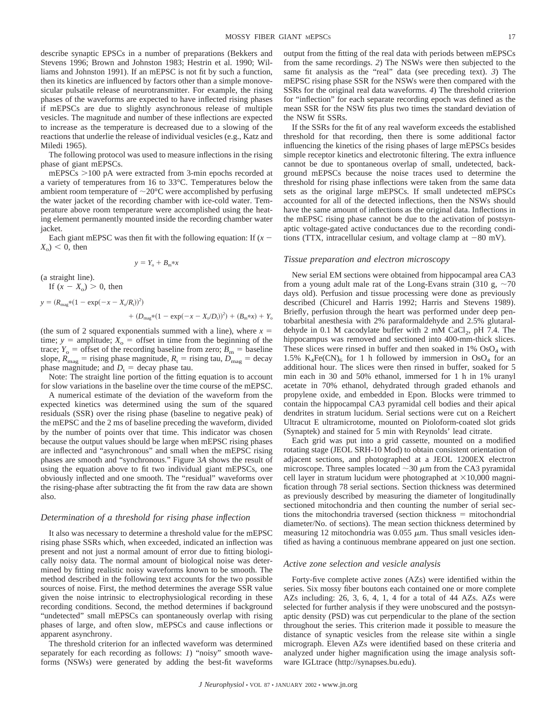describe synaptic EPSCs in a number of preparations (Bekkers and Stevens 1996; Brown and Johnston 1983; Hestrin et al. 1990; Williams and Johnston 1991). If an mEPSC is not fit by such a function, then its kinetics are influenced by factors other than a simple monovesicular pulsatile release of neurotransmitter. For example, the rising phases of the waveforms are expected to have inflected rising phases if mEPSCs are due to slightly asynchronous release of multiple vesicles. The magnitude and number of these inflections are expected to increase as the temperature is decreased due to a slowing of the reactions that underlie the release of individual vesicles (e.g., Katz and Miledi 1965).

The following protocol was used to measure inflections in the rising phase of giant mEPSCs.

 $mEPSCs > 100$  pA were extracted from 3-min epochs recorded at a variety of temperatures from 16 to 33°C. Temperatures below the ambient room temperature of  $\sim$ 20 $^{\circ}$ C were accomplished by perfusing the water jacket of the recording chamber with ice-cold water. Temperature above room temperature were accomplished using the heating element permanently mounted inside the recording chamber water jacket.

Each giant mEPSC was then fit with the following equation: If  $(x X_0$  < 0, then

$$
y = Y_{\rm o} + B_{\rm m} * x
$$

(a straight line).

If 
$$
(x - X_0) > 0
$$
, then

$$
y = (R_{\text{mag}}*(1 - \exp(-x - X_o/R_i))^2)
$$
  
+  $(D_{\text{mag}}*(1 - \exp(-x - X_o/D_i))^2) + (B_{\text{m}}*x) + Y_o$ 

(the sum of 2 squared exponentials summed with a line), where  $x =$ time;  $y =$  amplitude;  $X_0 =$  offset in time from the beginning of the trace;  $Y_{o}$  = offset of the recording baseline from zero;  $B_{\text{m}}$  = baseline slope,  $R_{\text{mag}} =$  rising phase magnitude,  $R_t =$  rising tau,  $D_{\text{mag}} =$  decay phase magnitude; and  $D_t$  = decay phase tau.

Note: The straight line portion of the fitting equation is to account for slow variations in the baseline over the time course of the mEPSC.

A numerical estimate of the deviation of the waveform from the expected kinetics was determined using the sum of the squared residuals (SSR) over the rising phase (baseline to negative peak) of the mEPSC and the 2 ms of baseline preceding the waveform, divided by the number of points over that time. This indicator was chosen because the output values should be large when mEPSC rising phases are inflected and "asynchronous" and small when the mEPSC rising phases are smooth and "synchronous." Figure 3*A* shows the result of using the equation above to fit two individual giant mEPSCs, one obviously inflected and one smooth. The "residual" waveforms over the rising-phase after subtracting the fit from the raw data are shown also.

#### *Determination of a threshold for rising phase inflection*

It also was necessary to determine a threshold value for the mEPSC rising phase SSRs which, when exceeded, indicated an inflection was present and not just a normal amount of error due to fitting biologically noisy data. The normal amount of biological noise was determined by fitting realistic noisy waveforms known to be smooth. The method described in the following text accounts for the two possible sources of noise. First, the method determines the average SSR value given the noise intrinsic to electrophysiological recording in these recording conditions. Second, the method determines if background "undetected" small mEPSCs can spontaneously overlap with rising phases of large, and often slow, mEPSCs and cause inflections or apparent asynchrony.

The threshold criterion for an inflected waveform was determined separately for each recording as follows: *1*) "noisy" smooth waveforms (NSWs) were generated by adding the best-fit waveforms

output from the fitting of the real data with periods between mEPSCs from the same recordings. *2*) The NSWs were then subjected to the same fit analysis as the "real" data (see preceding text). *3*) The mEPSC rising phase SSR for the NSWs were then compared with the SSRs for the original real data waveforms. *4*) The threshold criterion for "inflection" for each separate recording epoch was defined as the mean SSR for the NSW fits plus two times the standard deviation of the NSW fit SSRs.

If the SSRs for the fit of any real waveform exceeds the established threshold for that recording, then there is some additional factor influencing the kinetics of the rising phases of large mEPSCs besides simple receptor kinetics and electrotonic filtering. The extra influence cannot be due to spontaneous overlap of small, undetected, background mEPSCs because the noise traces used to determine the threshold for rising phase inflections were taken from the same data sets as the original large mEPSCs. If small undetected mEPSCs accounted for all of the detected inflections, then the NSWs should have the same amount of inflections as the original data. Inflections in the mEPSC rising phase cannot be due to the activation of postsynaptic voltage-gated active conductances due to the recording conditions (TTX, intracellular cesium, and voltage clamp at  $-80$  mV).

#### *Tissue preparation and electron microscopy*

New serial EM sections were obtained from hippocampal area CA3 from a young adult male rat of the Long-Evans strain (310 g,  $\sim$  70 days old). Perfusion and tissue processing were done as previously described (Chicurel and Harris 1992; Harris and Stevens 1989). Briefly, perfusion through the heart was performed under deep pentobarbital anesthesia with 2% paraformaldehyde and 2.5% glutaraldehyde in  $0.1$  M cacodylate buffer with 2 mM CaCl<sub>2</sub>, pH 7.4. The hippocampus was removed and sectioned into 400-mm-thick slices. These slices were rinsed in buffer and then soaked in  $1\%$  OsO<sub>4</sub> with 1.5%  $K_4Fe(CN)_6$  for 1 h followed by immersion in OsO<sub>4</sub> for an additional hour. The slices were then rinsed in buffer, soaked for 5 min each in 30 and 50% ethanol, immersed for 1 h in 1% uranyl acetate in 70% ethanol, dehydrated through graded ethanols and propylene oxide, and embedded in Epon. Blocks were trimmed to contain the hippocampal CA3 pyramidal cell bodies and their apical dendrites in stratum lucidum. Serial sections were cut on a Reichert Ultracut E ultramicrotome, mounted on Pioloform-coated slot grids (Synaptek) and stained for 5 min with Reynolds' lead citrate.

Each grid was put into a grid cassette, mounted on a modified rotating stage (JEOL SRH-10 Mod) to obtain consistent orientation of adjacent sections, and photographed at a JEOL 1200EX electron microscope. Three samples located  $\sim$ 30  $\mu$ m from the CA3 pyramidal cell layer in stratum lucidum were photographed at 10,000 magnification through 78 serial sections. Section thickness was determined as previously described by measuring the diameter of longitudinally sectioned mitochondria and then counting the number of serial sections the mitochondria traversed (section thickness = mitochondrial diameter/No. of sections). The mean section thickness determined by measuring 12 mitochondria was 0.055  $\mu$ m. Thus small vesicles identified as having a continuous membrane appeared on just one section.

#### *Active zone selection and vesicle analysis*

Forty-five complete active zones (AZs) were identified within the series. Six mossy fiber boutons each contained one or more complete AZs including: 26, 3, 6, 4, 1, 4 for a total of 44 AZs. AZs were selected for further analysis if they were unobscured and the postsynaptic density (PSD) was cut perpendicular to the plane of the section throughout the series. This criterion made it possible to measure the distance of synaptic vesicles from the release site within a single micrograph. Eleven AZs were identified based on these criteria and analyzed under higher magnification using the image analysis software IGLtrace (http://synapses.bu.edu).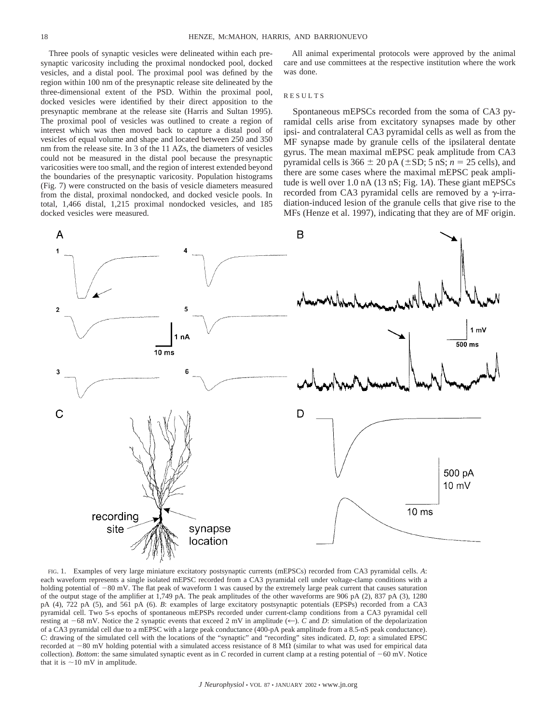Three pools of synaptic vesicles were delineated within each presynaptic varicosity including the proximal nondocked pool, docked vesicles, and a distal pool. The proximal pool was defined by the region within 100 nm of the presynaptic release site delineated by the three-dimensional extent of the PSD. Within the proximal pool, docked vesicles were identified by their direct apposition to the presynaptic membrane at the release site (Harris and Sultan 1995). The proximal pool of vesicles was outlined to create a region of interest which was then moved back to capture a distal pool of vesicles of equal volume and shape and located between 250 and 350 nm from the release site. In 3 of the 11 AZs, the diameters of vesicles could not be measured in the distal pool because the presynaptic varicosities were too small, and the region of interest extended beyond the boundaries of the presynaptic varicosity. Population histograms (Fig. 7) were constructed on the basis of vesicle diameters measured from the distal, proximal nondocked, and docked vesicle pools. In total, 1,466 distal, 1,215 proximal nondocked vesicles, and 185 docked vesicles were measured.

All animal experimental protocols were approved by the animal care and use committees at the respective institution where the work was done.

## RESULTS

Spontaneous mEPSCs recorded from the soma of CA3 pyramidal cells arise from excitatory synapses made by other ipsi- and contralateral CA3 pyramidal cells as well as from the MF synapse made by granule cells of the ipsilateral dentate gyrus. The mean maximal mEPSC peak amplitude from CA3 pyramidal cells is  $366 \pm 20$  pA ( $\pm$ SD; 5 nS; *n* = 25 cells), and there are some cases where the maximal mEPSC peak amplitude is well over 1.0 nA (13 nS; Fig. 1*A*). These giant mEPSCs recorded from CA3 pyramidal cells are removed by a  $\gamma$ -irradiation-induced lesion of the granule cells that give rise to the MFs (Henze et al. 1997), indicating that they are of MF origin.



FIG. 1. Examples of very large miniature excitatory postsynaptic currents (mEPSCs) recorded from CA3 pyramidal cells. *A*: each waveform represents a single isolated mEPSC recorded from a CA3 pyramidal cell under voltage-clamp conditions with a holding potential of  $-80$  mV. The flat peak of waveform 1 was caused by the extremely large peak current that causes saturation of the output stage of the amplifier at 1,749 pA. The peak amplitudes of the other waveforms are 906 pA (2), 837 pA (3), 1280 pA (4), 722 pA (5), and 561 pA (6). *B*: examples of large excitatory postsynaptic potentials (EPSPs) recorded from a CA3 pyramidal cell. Two 5-s epochs of spontaneous mEPSPs recorded under current-clamp conditions from a CA3 pyramidal cell resting at  $-68$  mV. Notice the 2 synaptic events that exceed 2 mV in amplitude  $(\leftarrow)$ . *C* and *D*: simulation of the depolarization of a CA3 pyramidal cell due to a mEPSC with a large peak conductance (400-pA peak amplitude from a 8.5-nS peak conductance). *C*: drawing of the simulated cell with the locations of the "synaptic" and "recording" sites indicated. *D, top*: a simulated EPSC recorded at  $-80$  mV holding potential with a simulated access resistance of 8 M $\Omega$  (similar to what was used for empirical data collection). *Bottom*: the same simulated synaptic event as in *C* recorded in current clamp at a resting potential of  $-60$  mV. Notice that it is  $\sim$ 10 mV in amplitude.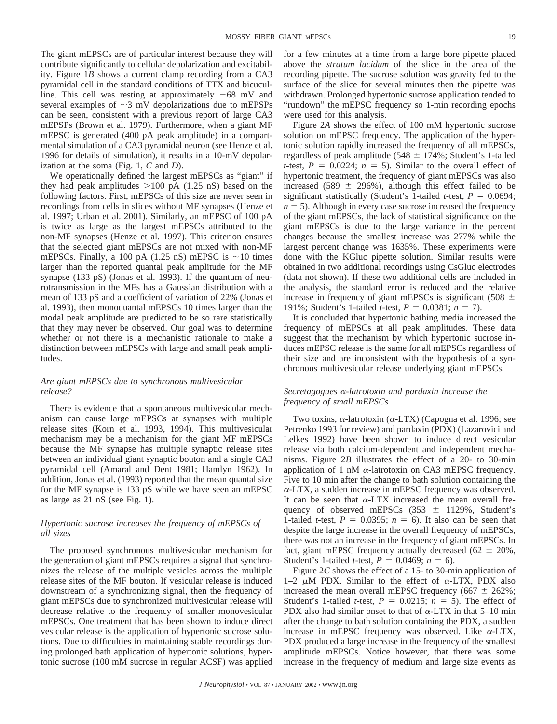The giant mEPSCs are of particular interest because they will contribute significantly to cellular depolarization and excitability. Figure 1*B* shows a current clamp recording from a CA3 pyramidal cell in the standard conditions of TTX and bicuculline. This cell was resting at approximately  $-68$  mV and several examples of  $\sim$ 3 mV depolarizations due to mEPSPs can be seen, consistent with a previous report of large CA3 mEPSPs (Brown et al. 1979). Furthermore, when a giant MF mEPSC is generated (400 pA peak amplitude) in a compartmental simulation of a CA3 pyramidal neuron (see Henze et al. 1996 for details of simulation), it results in a 10-mV depolarization at the soma (Fig. 1, *C* and *D*).

We operationally defined the largest mEPSCs as "giant" if they had peak amplitudes  $>100$  pA (1.25 nS) based on the following factors. First, mEPSCs of this size are never seen in recordings from cells in slices without MF synapses (Henze et al. 1997; Urban et al. 2001). Similarly, an mEPSC of 100 pA is twice as large as the largest mEPSCs attributed to the non-MF synapses (Henze et al. 1997). This criterion ensures that the selected giant mEPSCs are not mixed with non-MF mEPSCs. Finally, a 100 pA (1.25 nS) mEPSC is  $\sim$  10 times larger than the reported quantal peak amplitude for the MF synapse (133 pS) (Jonas et al. 1993). If the quantum of neurotransmission in the MFs has a Gaussian distribution with a mean of 133 pS and a coefficient of variation of 22% (Jonas et al. 1993), then monoquantal mEPSCs 10 times larger than the modal peak amplitude are predicted to be so rare statistically that they may never be observed. Our goal was to determine whether or not there is a mechanistic rationale to make a distinction between mEPSCs with large and small peak amplitudes.

## *Are giant mEPSCs due to synchronous multivesicular release?*

There is evidence that a spontaneous multivesicular mechanism can cause large mEPSCs at synapses with multiple release sites (Korn et al. 1993, 1994). This multivesicular mechanism may be a mechanism for the giant MF mEPSCs because the MF synapse has multiple synaptic release sites between an individual giant synaptic bouton and a single CA3 pyramidal cell (Amaral and Dent 1981; Hamlyn 1962). In addition, Jonas et al. (1993) reported that the mean quantal size for the MF synapse is 133 pS while we have seen an mEPSC as large as 21 nS (see Fig. 1).

## *Hypertonic sucrose increases the frequency of mEPSCs of all sizes*

The proposed synchronous multivesicular mechanism for the generation of giant mEPSCs requires a signal that synchronizes the release of the multiple vesicles across the multiple release sites of the MF bouton. If vesicular release is induced downstream of a synchronizing signal, then the frequency of giant mEPSCs due to synchronized multivesicular release will decrease relative to the frequency of smaller monovesicular mEPSCs. One treatment that has been shown to induce direct vesicular release is the application of hypertonic sucrose solutions. Due to difficulties in maintaining stable recordings during prolonged bath application of hypertonic solutions, hypertonic sucrose (100 mM sucrose in regular ACSF) was applied

for a few minutes at a time from a large bore pipette placed above the *stratum lucidum* of the slice in the area of the recording pipette. The sucrose solution was gravity fed to the surface of the slice for several minutes then the pipette was withdrawn. Prolonged hypertonic sucrose application tended to "rundown" the mEPSC frequency so 1-min recording epochs were used for this analysis.

Figure 2*A* shows the effect of 100 mM hypertonic sucrose solution on mEPSC frequency. The application of the hypertonic solution rapidly increased the frequency of all mEPSCs, regardless of peak amplitude (548  $\pm$  174%; Student's 1-tailed *t*-test,  $P = 0.0224$ ;  $n = 5$ ). Similar to the overall effect of hypertonic treatment, the frequency of giant mEPSCs was also increased (589  $\pm$  296%), although this effect failed to be significant statistically (Student's 1-tailed *t*-test,  $P = 0.0694$ ;  $n = 5$ ). Although in every case sucrose increased the frequency of the giant mEPSCs, the lack of statistical significance on the giant mEPSCs is due to the large variance in the percent changes because the smallest increase was 277% while the largest percent change was 1635%. These experiments were done with the KGluc pipette solution. Similar results were obtained in two additional recordings using CsGluc electrodes (data not shown). If these two additional cells are included in the analysis, the standard error is reduced and the relative increase in frequency of giant mEPSCs is significant (508  $\pm$ 191%; Student's 1-tailed *t*-test,  $P = 0.0381$ ;  $n = 7$ ).

It is concluded that hypertonic bathing media increased the frequency of mEPSCs at all peak amplitudes. These data suggest that the mechanism by which hypertonic sucrose induces mEPSC release is the same for all mEPSCs regardless of their size and are inconsistent with the hypothesis of a synchronous multivesicular release underlying giant mEPSCs.

## *Secretagogues -latrotoxin and pardaxin increase the frequency of small mEPSCs*

Two toxins,  $\alpha$ -latrotoxin ( $\alpha$ -LTX) (Capogna et al. 1996; see Petrenko 1993 for review) and pardaxin (PDX) (Lazarovici and Lelkes 1992) have been shown to induce direct vesicular release via both calcium-dependent and independent mechanisms. Figure 2*B* illustrates the effect of a 20- to 30-min application of 1 nM  $\alpha$ -latrotoxin on CA3 mEPSC frequency. Five to 10 min after the change to bath solution containing the  $\alpha$ -LTX, a sudden increase in mEPSC frequency was observed. It can be seen that  $\alpha$ -LTX increased the mean overall frequency of observed mEPSCs  $(353 \pm 1129\%)$ , Student's 1-tailed *t*-test,  $P = 0.0395$ ;  $n = 6$ ). It also can be seen that despite the large increase in the overall frequency of mEPSCs, there was not an increase in the frequency of giant mEPSCs. In fact, giant mEPSC frequency actually decreased ( $62 \pm 20\%$ , Student's 1-tailed *t*-test,  $P = 0.0469$ ;  $n = 6$ ).

Figure 2*C* shows the effect of a 15- to 30-min application of 1–2  $\mu$ M PDX. Similar to the effect of  $\alpha$ -LTX, PDX also increased the mean overall mEPSC frequency (667  $\pm$  262%; Student's 1-tailed *t*-test,  $P = 0.0215$ ;  $n = 5$ ). The effect of PDX also had similar onset to that of  $\alpha$ -LTX in that 5–10 min after the change to bath solution containing the PDX, a sudden increase in mEPSC frequency was observed. Like  $\alpha$ -LTX, PDX produced a large increase in the frequency of the smallest amplitude mEPSCs. Notice however, that there was some increase in the frequency of medium and large size events as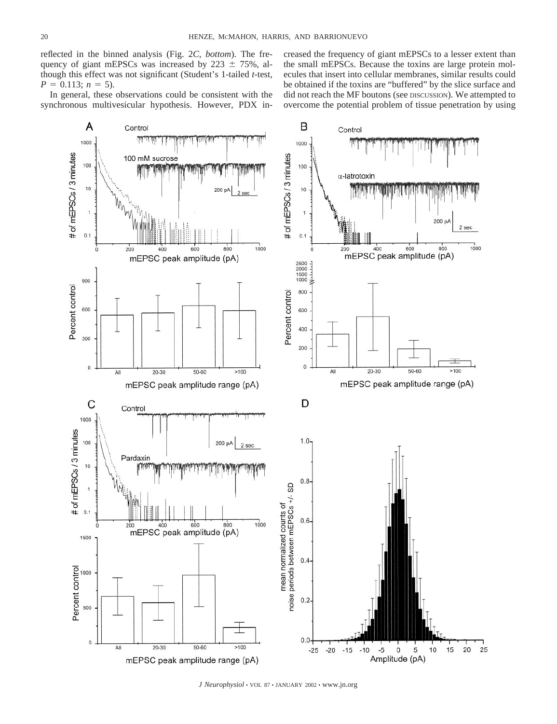reflected in the binned analysis (Fig. 2*C, bottom*). The frequency of giant mEPSCs was increased by  $223 \pm 75\%$ , although this effect was not significant (Student's 1-tailed *t*-test,  $P = 0.113; n = 5$ ).

In general, these observations could be consistent with the synchronous multivesicular hypothesis. However, PDX in-

creased the frequency of giant mEPSCs to a lesser extent than the small mEPSCs. Because the toxins are large protein molecules that insert into cellular membranes, similar results could be obtained if the toxins are "buffered" by the slice surface and did not reach the MF boutons (see DISCUSSION). We attempted to overcome the potential problem of tissue penetration by using



*J Neurophysiol* • VOL 87 • JANUARY 2002 • www.jn.org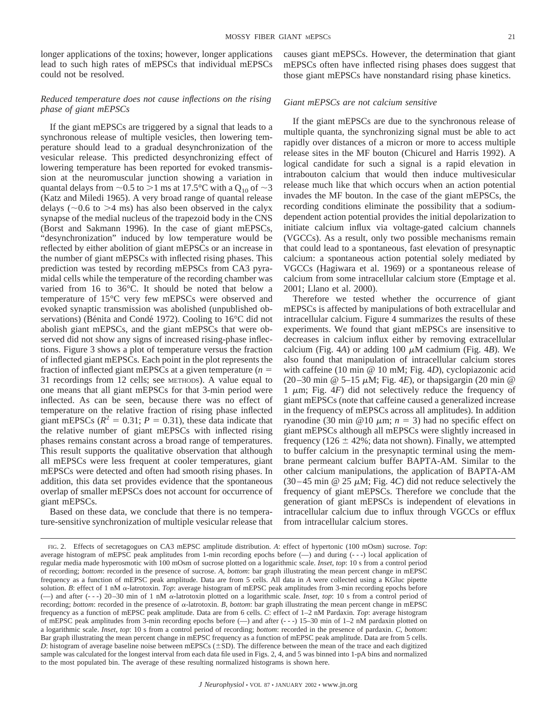longer applications of the toxins; however, longer applications lead to such high rates of mEPSCs that individual mEPSCs could not be resolved.

# *Reduced temperature does not cause inflections on the rising phase of giant mEPSCs*

If the giant mEPSCs are triggered by a signal that leads to a synchronous release of multiple vesicles, then lowering temperature should lead to a gradual desynchronization of the vesicular release. This predicted desynchronizing effect of lowering temperature has been reported for evoked transmission at the neuromuscular junction showing a variation in quantal delays from  $\sim$  0.5 to  $>$ 1 ms at 17.5°C with a Q<sub>10</sub> of  $\sim$ 3 (Katz and Miledi 1965). A very broad range of quantal release delays ( $\sim$ 0.6 to  $>$ 4 ms) has also been observed in the calyx synapse of the medial nucleus of the trapezoid body in the CNS (Borst and Sakmann 1996). In the case of giant mEPSCs, "desynchronization" induced by low temperature would be reflected by either abolition of giant mEPSCs or an increase in the number of giant mEPSCs with inflected rising phases. This prediction was tested by recording mEPSCs from CA3 pyramidal cells while the temperature of the recording chamber was varied from 16 to 36°C. It should be noted that below a temperature of 15°C very few mEPSCs were observed and evoked synaptic transmission was abolished (unpublished observations) (Bénita and Condé 1972). Cooling to 16°C did not abolish giant mEPSCs, and the giant mEPSCs that were observed did not show any signs of increased rising-phase inflections. Figure 3 shows a plot of temperature versus the fraction of inflected giant mEPSCs. Each point in the plot represents the fraction of inflected giant mEPSCs at a given temperature  $(n =$ 31 recordings from 12 cells; see METHODS). A value equal to one means that all giant mEPSCs for that 3-min period were inflected. As can be seen, because there was no effect of temperature on the relative fraction of rising phase inflected giant mEPSCs ( $R^2 = 0.31$ ;  $P = 0.31$ ), these data indicate that the relative number of giant mEPSCs with inflected rising phases remains constant across a broad range of temperatures. This result supports the qualitative observation that although all mEPSCs were less frequent at cooler temperatures, giant mEPSCs were detected and often had smooth rising phases. In addition, this data set provides evidence that the spontaneous overlap of smaller mEPSCs does not account for occurrence of giant mEPSCs.

Based on these data, we conclude that there is no temperature-sensitive synchronization of multiple vesicular release that causes giant mEPSCs. However, the determination that giant mEPSCs often have inflected rising phases does suggest that those giant mEPSCs have nonstandard rising phase kinetics.

### *Giant mEPSCs are not calcium sensitive*

If the giant mEPSCs are due to the synchronous release of multiple quanta, the synchronizing signal must be able to act rapidly over distances of a micron or more to access multiple release sites in the MF bouton (Chicurel and Harris 1992). A logical candidate for such a signal is a rapid elevation in intrabouton calcium that would then induce multivesicular release much like that which occurs when an action potential invades the MF bouton. In the case of the giant mEPSCs, the recording conditions eliminate the possibility that a sodiumdependent action potential provides the initial depolarization to initiate calcium influx via voltage-gated calcium channels (VGCCs). As a result, only two possible mechanisms remain that could lead to a spontaneous, fast elevation of presynaptic calcium: a spontaneous action potential solely mediated by VGCCs (Hagiwara et al. 1969) or a spontaneous release of calcium from some intracellular calcium store (Emptage et al. 2001; Llano et al. 2000).

Therefore we tested whether the occurrence of giant mEPSCs is affected by manipulations of both extracellular and intracellular calcium. Figure 4 summarizes the results of these experiments. We found that giant mEPSCs are insensitive to decreases in calcium influx either by removing extracellular calcium (Fig. 4*A*) or adding 100  $\mu$ M cadmium (Fig. 4*B*). We also found that manipulation of intracellular calcium stores with caffeine (10 min @ 10 mM; Fig. 4*D*), cyclopiazonic acid (20–30 min  $\omega$  5–15  $\mu$ M; Fig. 4*E*), or thapsigargin (20 min  $\omega$ ) 1  $\mu$ m; Fig. 4*F*) did not selectively reduce the frequency of giant mEPSCs (note that caffeine caused a generalized increase in the frequency of mEPSCs across all amplitudes). In addition ryanodine (30 min  $@10 \mu m$ ;  $n = 3$ ) had no specific effect on giant mEPSCs although all mEPSCs were slightly increased in frequency (126  $\pm$  42%; data not shown). Finally, we attempted to buffer calcium in the presynaptic terminal using the membrane permeant calcium buffer BAPTA-AM. Similar to the other calcium manipulations, the application of BAPTA-AM  $(30-45 \text{ min} \& 25 \mu\text{M}; \text{Fig. 4C})$  did not reduce selectively the frequency of giant mEPSCs. Therefore we conclude that the generation of giant mEPSCs is independent of elevations in intracellular calcium due to influx through VGCCs or efflux from intracellular calcium stores.

FIG. 2. Effects of secretagogues on CA3 mEPSC amplitude distribution. *A*: effect of hypertonic (100 mOsm) sucrose. *Top*: average histogram of mEPSC peak amplitudes from 1-min recording epochs before  $(-)$  and during  $(-)$  local application of regular media made hyperosmotic with 100 mOsm of sucrose plotted on a logarithmic scale. *Inset, top*: 10 s from a control period of recording; *bottom*: recorded in the presence of sucrose. *A, bottom*: bar graph illustrating the mean percent change in mEPSC frequency as a function of mEPSC peak amplitude. Data are from 5 cells. All data in *A* were collected using a KGluc pipette solution. *B*: effect of 1 nM  $\alpha$ -latrotoxin. *Top*: average histogram of mEPSC peak amplitudes from 3-min recording epochs before  $(-)$  and after (---) 20–30 min of 1 nM  $\alpha$ -latrotoxin plotted on a logarithmic scale. *Inset, top*: 10 s from a control period of recording; *bottom*: recorded in the presence of  $\alpha$ -latrotoxin. *B*, *bottom*: bar graph illustrating the mean percent change in mEPSC frequency as a function of mEPSC peak amplitude. Data are from 6 cells. *C*: effect of 1–2 nM Pardaxin. *Top*: average histogram of mEPSC peak amplitudes from 3-min recording epochs before  $(-)$  and after  $(-)$  15–30 min of 1–2 nM pardaxin plotted on a logarithmic scale. *Inset, top*: 10 s from a control period of recording; *bottom*: recorded in the presence of pardaxin. *C, bottom*: Bar graph illustrating the mean percent change in mEPSC frequency as a function of mEPSC peak amplitude. Data are from 5 cells. *D*: histogram of average baseline noise between mEPSCs ( $\pm$ SD). The difference between the mean of the trace and each digitized sample was calculated for the longest interval from each data file used in Figs. 2, 4, and 5 was binned into 1-pA bins and normalized to the most populated bin. The average of these resulting normalized histograms is shown here.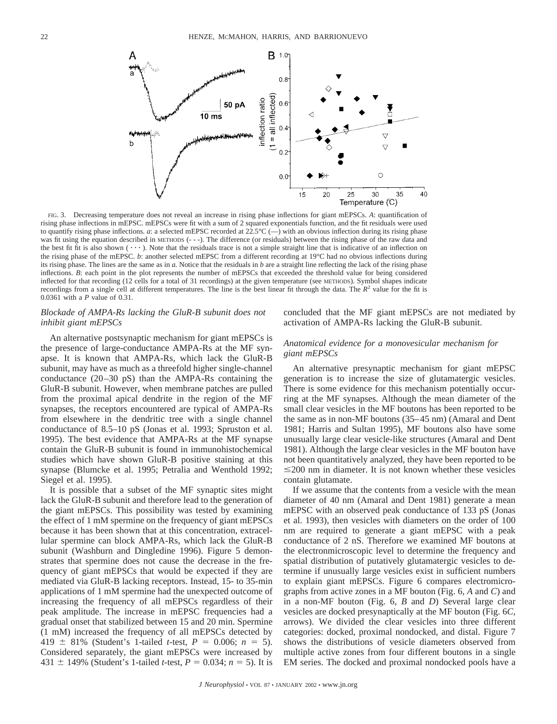

FIG. 3. Decreasing temperature does not reveal an increase in rising phase inflections for giant mEPSCs. *A*: quantification of rising phase inflections in mEPSC. mEPSCs were fit with a sum of 2 squared exponentials function, and the fit residuals were used to quantify rising phase inflections. *a*: a selected mEPSC recorded at  $22.5^{\circ}C$  (—) with an obvious inflection during its rising phase was fit using the equation described in METHODS (---). The difference (or residuals) between the rising phase of the raw data and the best fit fit is also shown  $(\cdots)$ . Note that the residuals trace is not a simple straight line that is indicative of an inflection on the rising phase of the mEPSC. *b*: another selected mEPSC from a different recording at 19°C had no obvious inflections during its rising phase. The lines are the same as in *a.* Notice that the residuals in *b* are a straight line reflecting the lack of the rising phase inflections. *B*: each point in the plot represents the number of mEPSCs that exceeded the threshold value for being considered inflected for that recording (12 cells for a total of 31 recordings) at the given temperature (see METHODS). Symbol shapes indicate recordings from a single cell at different temperatures. The line is the best linear fit through the data. The  $R^2$  value for the fit is 0.0361 with a *P* value of 0.31.

## *Blockade of AMPA-Rs lacking the GluR-B subunit does not inhibit giant mEPSCs*

An alternative postsynaptic mechanism for giant mEPSCs is the presence of large-conductance AMPA-Rs at the MF synapse. It is known that AMPA-Rs, which lack the GluR-B subunit, may have as much as a threefold higher single-channel conductance (20–30 pS) than the AMPA-Rs containing the GluR-B subunit. However, when membrane patches are pulled from the proximal apical dendrite in the region of the MF synapses, the receptors encountered are typical of AMPA-Rs from elsewhere in the dendritic tree with a single channel conductance of 8.5–10 pS (Jonas et al. 1993; Spruston et al. 1995). The best evidence that AMPA-Rs at the MF synapse contain the GluR-B subunit is found in immunohistochemical studies which have shown GluR-B positive staining at this synapse (Blumcke et al. 1995; Petralia and Wenthold 1992; Siegel et al. 1995).

It is possible that a subset of the MF synaptic sites might lack the GluR-B subunit and therefore lead to the generation of the giant mEPSCs. This possibility was tested by examining the effect of 1 mM spermine on the frequency of giant mEPSCs because it has been shown that at this concentration, extracellular spermine can block AMPA-Rs, which lack the GluR-B subunit (Washburn and Dingledine 1996). Figure 5 demonstrates that spermine does not cause the decrease in the frequency of giant mEPSCs that would be expected if they are mediated via GluR-B lacking receptors. Instead, 15- to 35-min applications of 1 mM spermine had the unexpected outcome of increasing the frequency of all mEPSCs regardless of their peak amplitude. The increase in mEPSC frequencies had a gradual onset that stabilized between 15 and 20 min. Spermine (1 mM) increased the frequency of all mEPSCs detected by  $419 \pm 81\%$  (Student's 1-tailed *t*-test,  $P = 0.006$ ;  $n = 5$ ). Considered separately, the giant mEPSCs were increased by  $431 \pm 149\%$  (Student's 1-tailed *t*-test,  $P = 0.034$ ;  $n = 5$ ). It is

concluded that the MF giant mEPSCs are not mediated by activation of AMPA-Rs lacking the GluR-B subunit.

## *Anatomical evidence for a monovesicular mechanism for giant mEPSCs*

An alternative presynaptic mechanism for giant mEPSC generation is to increase the size of glutamatergic vesicles. There is some evidence for this mechanism potentially occurring at the MF synapses. Although the mean diameter of the small clear vesicles in the MF boutons has been reported to be the same as in non-MF boutons (35–45 nm) (Amaral and Dent 1981; Harris and Sultan 1995), MF boutons also have some unusually large clear vesicle-like structures (Amaral and Dent 1981). Although the large clear vesicles in the MF bouton have not been quantitatively analyzed, they have been reported to be  $\leq$ 200 nm in diameter. It is not known whether these vesicles contain glutamate.

If we assume that the contents from a vesicle with the mean diameter of 40 nm (Amaral and Dent 1981) generate a mean mEPSC with an observed peak conductance of 133 pS (Jonas et al. 1993), then vesicles with diameters on the order of 100 nm are required to generate a giant mEPSC with a peak conductance of 2 nS. Therefore we examined MF boutons at the electronmicroscopic level to determine the frequency and spatial distribution of putatively glutamatergic vesicles to determine if unusually large vesicles exist in sufficient numbers to explain giant mEPSCs. Figure 6 compares electromicrographs from active zones in a MF bouton (Fig. 6, *A* and *C*) and in a non-MF bouton (Fig. 6, *B* and *D*) Several large clear vesicles are docked presynaptically at the MF bouton (Fig. 6*C*, arrows). We divided the clear vesicles into three different categories: docked, proximal nondocked, and distal. Figure 7 shows the distributions of vesicle diameters observed from multiple active zones from four different boutons in a single EM series. The docked and proximal nondocked pools have a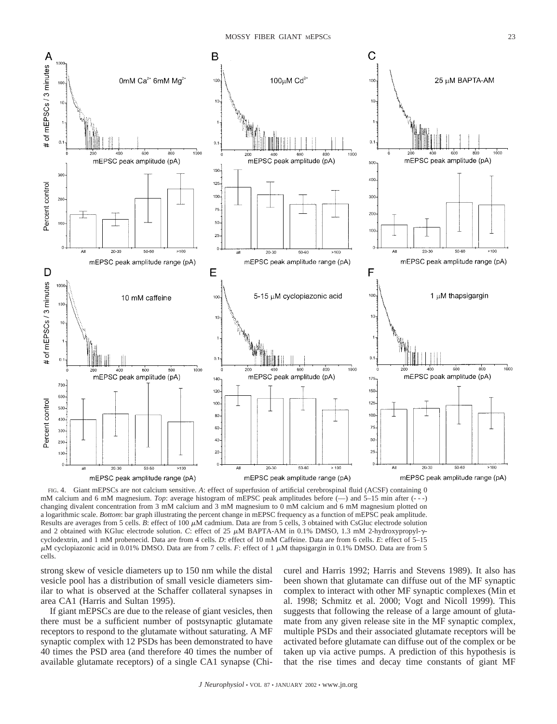

FIG. 4. Giant mEPSCs are not calcium sensitive. *A*: effect of superfusion of artificial cerebrospinal fluid (ACSF) containing 0 mM calcium and 6 mM magnesium. *Top*: average histogram of mEPSC peak amplitudes before (—) and 5–15 min after (- - -) changing divalent concentration from 3 mM calcium and 3 mM magnesium to 0 mM calcium and 6 mM magnesium plotted on a logarithmic scale. *Bottom*: bar graph illustrating the percent change in mEPSC frequency as a function of mEPSC peak amplitude. Results are averages from 5 cells. *B*: effect of 100  $\mu$ M cadmium. Data are from 5 cells, 3 obtained with CsGluc electrode solution and 2 obtained with KGluc electrode solution. *C*: effect of 25  $\mu$ M BAPTA-AM in 0.1% DMSO, 1.3 mM 2-hydroxypropyl- $\gamma$ cyclodextrin, and 1 mM probenecid. Data are from 4 cells. *D*: effect of 10 mM Caffeine. Data are from 6 cells. *E*: effect of 5–15  $\mu$ M cyclopiazonic acid in 0.01% DMSO. Data are from 7 cells. *F*: effect of 1  $\mu$ M thapsigargin in 0.1% DMSO. Data are from 5 cells.

strong skew of vesicle diameters up to 150 nm while the distal vesicle pool has a distribution of small vesicle diameters similar to what is observed at the Schaffer collateral synapses in area CA1 (Harris and Sultan 1995).

If giant mEPSCs are due to the release of giant vesicles, then there must be a sufficient number of postsynaptic glutamate receptors to respond to the glutamate without saturating. A MF synaptic complex with 12 PSDs has been demonstrated to have 40 times the PSD area (and therefore 40 times the number of available glutamate receptors) of a single CA1 synapse (Chi-

curel and Harris 1992; Harris and Stevens 1989). It also has been shown that glutamate can diffuse out of the MF synaptic complex to interact with other MF synaptic complexes (Min et al. 1998; Schmitz et al. 2000; Vogt and Nicoll 1999). This suggests that following the release of a large amount of glutamate from any given release site in the MF synaptic complex, multiple PSDs and their associated glutamate receptors will be activated before glutamate can diffuse out of the complex or be taken up via active pumps. A prediction of this hypothesis is that the rise times and decay time constants of giant MF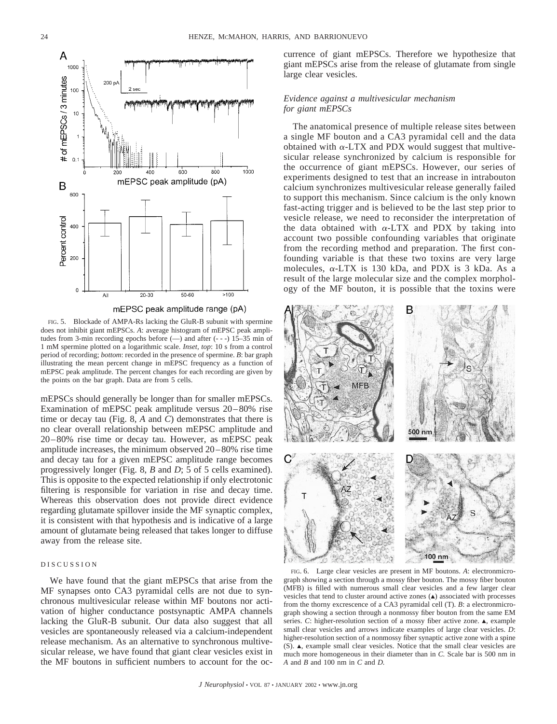

FIG. 5. Blockade of AMPA-Rs lacking the GluR-B subunit with spermine does not inhibit giant mEPSCs. *A*: average histogram of mEPSC peak ampli-

tudes from 3-min recording epochs before (—) and after (- - -) 15–35 min of 1 mM spermine plotted on a logarithmic scale. *Inset, top*: 10 s from a control period of recording; *bottom*: recorded in the presence of spermine. *B*: bar graph illustrating the mean percent change in mEPSC frequency as a function of mEPSC peak amplitude. The percent changes for each recording are given by the points on the bar graph. Data are from 5 cells.

mEPSCs should generally be longer than for smaller mEPSCs. Examination of mEPSC peak amplitude versus 20–80% rise time or decay tau (Fig. 8, *A* and *C*) demonstrates that there is no clear overall relationship between mEPSC amplitude and 20–80% rise time or decay tau. However, as mEPSC peak amplitude increases, the minimum observed 20–80% rise time and decay tau for a given mEPSC amplitude range becomes progressively longer (Fig. 8, *B* and *D*; 5 of 5 cells examined). This is opposite to the expected relationship if only electrotonic filtering is responsible for variation in rise and decay time. Whereas this observation does not provide direct evidence regarding glutamate spillover inside the MF synaptic complex, it is consistent with that hypothesis and is indicative of a large amount of glutamate being released that takes longer to diffuse away from the release site.

## DISCUSSION

We have found that the giant mEPSCs that arise from the MF synapses onto CA3 pyramidal cells are not due to synchronous multivesicular release within MF boutons nor activation of higher conductance postsynaptic AMPA channels lacking the GluR-B subunit. Our data also suggest that all vesicles are spontaneously released via a calcium-independent release mechanism. As an alternative to synchronous multivesicular release, we have found that giant clear vesicles exist in the MF boutons in sufficient numbers to account for the occurrence of giant mEPSCs. Therefore we hypothesize that giant mEPSCs arise from the release of glutamate from single large clear vesicles.

## *Evidence against a multivesicular mechanism for giant mEPSCs*

The anatomical presence of multiple release sites between a single MF bouton and a CA3 pyramidal cell and the data obtained with  $\alpha$ -LTX and PDX would suggest that multivesicular release synchronized by calcium is responsible for the occurrence of giant mEPSCs. However, our series of experiments designed to test that an increase in intrabouton calcium synchronizes multivesicular release generally failed to support this mechanism. Since calcium is the only known fast-acting trigger and is believed to be the last step prior to vesicle release, we need to reconsider the interpretation of the data obtained with  $\alpha$ -LTX and PDX by taking into account two possible confounding variables that originate from the recording method and preparation. The first confounding variable is that these two toxins are very large molecules,  $\alpha$ -LTX is 130 kDa, and PDX is 3 kDa. As a result of the large molecular size and the complex morphology of the MF bouton, it is possible that the toxins were



FIG. 6. Large clear vesicles are present in MF boutons. *A*: electronmicrograph showing a section through a mossy fiber bouton. The mossy fiber bouton (MFB) is filled with numerous small clear vesicles and a few larger clear vesicles that tend to cluster around active zones  $(\triangle)$  associated with processes from the thorny excrescence of a CA3 pyramidal cell (T). *B*: a electronmicrograph showing a section through a nonmossy fiber bouton from the same EM series.  $C$ : higher-resolution section of a mossy fiber active zone.  $\blacktriangle$ , example small clear vesicles and arrows indicate examples of large clear vesicles. *D*: higher-resolution section of a nonmossy fiber synaptic active zone with a spine (S). ▲, example small clear vesicles. Notice that the small clear vesicles are much more homogeneous in their diameter than in *C.* Scale bar is 500 nm in *A* and *B* and 100 nm in *C* and *D.*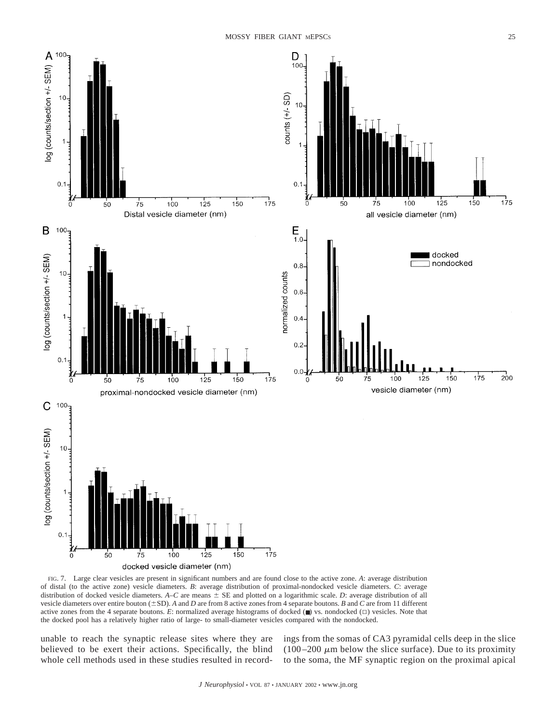

FIG. 7. Large clear vesicles are present in significant numbers and are found close to the active zone. *A*: average distribution of distal (to the active zone) vesicle diameters. *B*: average distribution of proximal-nondocked vesicle diameters. *C*: average distribution of docked vesicle diameters. *A–C* are means  $\pm$  SE and plotted on a logarithmic scale. *D*: average distribution of all vesicle diameters over entire bouton  $(\pm SD)$ . *A* and *D* are from 8 active zones from 4 separate boutons. *B* and *C* are from 11 different active zones from the 4 separate boutons. *E*: normalized average histograms of docked (■) vs. nondocked (□) vesicles. Note that the docked pool has a relatively higher ratio of large- to small-diameter vesicles compared with the nondocked.

unable to reach the synaptic release sites where they are believed to be exert their actions. Specifically, the blind whole cell methods used in these studies resulted in record-

ings from the somas of CA3 pyramidal cells deep in the slice  $(100-200 \mu m)$  below the slice surface). Due to its proximity to the soma, the MF synaptic region on the proximal apical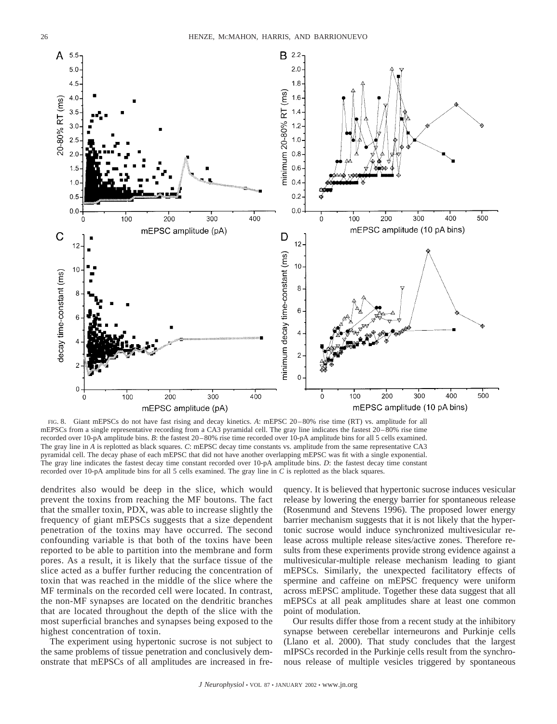

FIG. 8. Giant mEPSCs do not have fast rising and decay kinetics. *A*: mEPSC 20–80% rise time (RT) vs. amplitude for all mEPSCs from a single representative recording from a CA3 pyramidal cell. The gray line indicates the fastest 20–80% rise time recorded over 10-pA amplitude bins. *B*: the fastest 20–80% rise time recorded over 10-pA amplitude bins for all 5 cells examined. The gray line in *A* is replotted as black squares. *C*: mEPSC decay time constants vs. amplitude from the same representative CA3 pyramidal cell. The decay phase of each mEPSC that did not have another overlapping mEPSC was fit with a single exponential. The gray line indicates the fastest decay time constant recorded over 10-pA amplitude bins. *D*: the fastest decay time constant recorded over 10-pA amplitude bins for all 5 cells examined. The gray line in *C* is replotted as the black squares.

dendrites also would be deep in the slice, which would prevent the toxins from reaching the MF boutons. The fact that the smaller toxin, PDX, was able to increase slightly the frequency of giant mEPSCs suggests that a size dependent penetration of the toxins may have occurred. The second confounding variable is that both of the toxins have been reported to be able to partition into the membrane and form pores. As a result, it is likely that the surface tissue of the slice acted as a buffer further reducing the concentration of toxin that was reached in the middle of the slice where the MF terminals on the recorded cell were located. In contrast, the non-MF synapses are located on the dendritic branches that are located throughout the depth of the slice with the most superficial branches and synapses being exposed to the highest concentration of toxin.

The experiment using hypertonic sucrose is not subject to the same problems of tissue penetration and conclusively demonstrate that mEPSCs of all amplitudes are increased in fre-

quency. It is believed that hypertonic sucrose induces vesicular release by lowering the energy barrier for spontaneous release (Rosenmund and Stevens 1996). The proposed lower energy barrier mechanism suggests that it is not likely that the hypertonic sucrose would induce synchronized multivesicular release across multiple release sites/active zones. Therefore results from these experiments provide strong evidence against a multivesicular-multiple release mechanism leading to giant mEPSCs. Similarly, the unexpected facilitatory effects of spermine and caffeine on mEPSC frequency were uniform across mEPSC amplitude. Together these data suggest that all mEPSCs at all peak amplitudes share at least one common point of modulation.

Our results differ those from a recent study at the inhibitory synapse between cerebellar interneurons and Purkinje cells (Llano et al. 2000). That study concludes that the largest mIPSCs recorded in the Purkinje cells result from the synchronous release of multiple vesicles triggered by spontaneous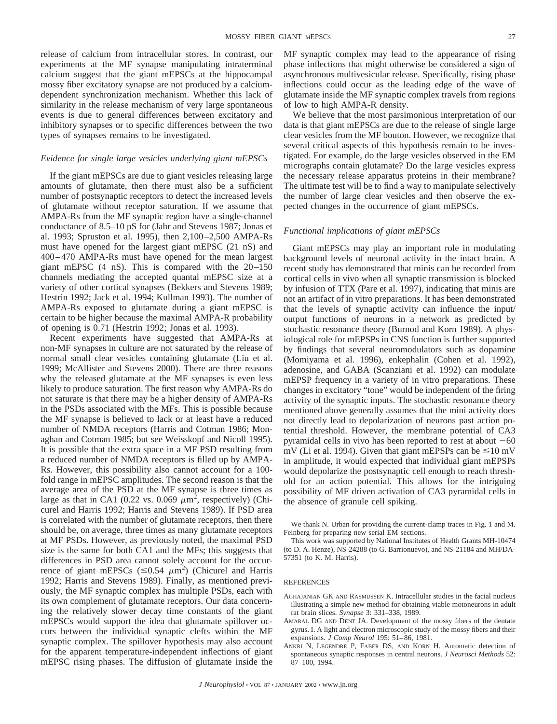release of calcium from intracellular stores. In contrast, our experiments at the MF synapse manipulating intraterminal calcium suggest that the giant mEPSCs at the hippocampal mossy fiber excitatory synapse are not produced by a calciumdependent synchronization mechanism. Whether this lack of similarity in the release mechanism of very large spontaneous events is due to general differences between excitatory and inhibitory synapses or to specific differences between the two types of synapses remains to be investigated.

#### *Evidence for single large vesicles underlying giant mEPSCs*

If the giant mEPSCs are due to giant vesicles releasing large amounts of glutamate, then there must also be a sufficient number of postsynaptic receptors to detect the increased levels of glutamate without receptor saturation. If we assume that AMPA-Rs from the MF synaptic region have a single-channel conductance of 8.5–10 pS for (Jahr and Stevens 1987; Jonas et al. 1993; Spruston et al. 1995), then 2,100–2,500 AMPA-Rs must have opened for the largest giant mEPSC (21 nS) and 400–470 AMPA-Rs must have opened for the mean largest giant mEPSC (4 nS). This is compared with the 20–150 channels mediating the accepted quantal mEPSC size at a variety of other cortical synapses (Bekkers and Stevens 1989; Hestrin 1992; Jack et al. 1994; Kullman 1993). The number of AMPA-Rs exposed to glutamate during a giant mEPSC is certain to be higher because the maximal AMPA-R probability of opening is 0.71 (Hestrin 1992; Jonas et al. 1993).

Recent experiments have suggested that AMPA-Rs at non-MF synapses in culture are not saturated by the release of normal small clear vesicles containing glutamate (Liu et al. 1999; McAllister and Stevens 2000). There are three reasons why the released glutamate at the MF synapses is even less likely to produce saturation. The first reason why AMPA-Rs do not saturate is that there may be a higher density of AMPA-Rs in the PSDs associated with the MFs. This is possible because the MF synapse is believed to lack or at least have a reduced number of NMDA receptors (Harris and Cotman 1986; Monaghan and Cotman 1985; but see Weisskopf and Nicoll 1995). It is possible that the extra space in a MF PSD resulting from a reduced number of NMDA receptors is filled up by AMPA-Rs. However, this possibility also cannot account for a 100 fold range in mEPSC amplitudes. The second reason is that the average area of the PSD at the MF synapse is three times as large as that in CA1 (0.22 vs. 0.069  $\mu$ m<sup>2</sup>, respectively) (Chicurel and Harris 1992; Harris and Stevens 1989). If PSD area is correlated with the number of glutamate receptors, then there should be, on average, three times as many glutamate receptors at MF PSDs. However, as previously noted, the maximal PSD size is the same for both CA1 and the MFs; this suggests that differences in PSD area cannot solely account for the occurrence of giant mEPSCs ( $\leq 0.54 \mu m^2$ ) (Chicurel and Harris 1992; Harris and Stevens 1989). Finally, as mentioned previously, the MF synaptic complex has multiple PSDs, each with its own complement of glutamate receptors. Our data concerning the relatively slower decay time constants of the giant mEPSCs would support the idea that glutamate spillover occurs between the individual synaptic clefts within the MF synaptic complex. The spillover hypothesis may also account for the apparent temperature-independent inflections of giant mEPSC rising phases. The diffusion of glutamate inside the

MF synaptic complex may lead to the appearance of rising phase inflections that might otherwise be considered a sign of asynchronous multivesicular release. Specifically, rising phase inflections could occur as the leading edge of the wave of glutamate inside the MF synaptic complex travels from regions of low to high AMPA-R density.

We believe that the most parsimonious interpretation of our data is that giant mEPSCs are due to the release of single large clear vesicles from the MF bouton. However, we recognize that several critical aspects of this hypothesis remain to be investigated. For example, do the large vesicles observed in the EM micrographs contain glutamate? Do the large vesicles express the necessary release apparatus proteins in their membrane? The ultimate test will be to find a way to manipulate selectively the number of large clear vesicles and then observe the expected changes in the occurrence of giant mEPSCs.

#### *Functional implications of giant mEPSCs*

Giant mEPSCs may play an important role in modulating background levels of neuronal activity in the intact brain. A recent study has demonstrated that minis can be recorded from cortical cells in vivo when all synaptic transmission is blocked by infusion of TTX (Pare et al. 1997), indicating that minis are not an artifact of in vitro preparations. It has been demonstrated that the levels of synaptic activity can influence the input/ output functions of neurons in a network as predicted by stochastic resonance theory (Burnod and Korn 1989). A physiological role for mEPSPs in CNS function is further supported by findings that several neuromodulators such as dopamine (Momiyama et al. 1996), enkephalin (Cohen et al. 1992), adenosine, and GABA (Scanziani et al. 1992) can modulate mEPSP frequency in a variety of in vitro preparations. These changes in excitatory "tone" would be independent of the firing activity of the synaptic inputs. The stochastic resonance theory mentioned above generally assumes that the mini activity does not directly lead to depolarization of neurons past action potential threshold. However, the membrane potential of CA3 pyramidal cells in vivo has been reported to rest at about  $-60$ mV (Li et al. 1994). Given that giant mEPSPs can be  $\leq 10$  mV in amplitude, it would expected that individual giant mEPSPs would depolarize the postsynaptic cell enough to reach threshold for an action potential. This allows for the intriguing possibility of MF driven activation of CA3 pyramidal cells in the absence of granule cell spiking.

We thank N. Urban for providing the current-clamp traces in Fig. 1 and M. Feinberg for preparing new serial EM sections.

This work was supported by National Institutes of Health Grants MH-10474 (to D. A. Henze), NS-24288 (to G. Barrionuevo), and NS-21184 and MH/DA-57351 (to K. M. Harris).

#### REFERENCES

- AGHAJANIAN GK AND RASMUSSEN K. Intracellular studies in the facial nucleus illustrating a simple new method for obtaining viable motoneurons in adult rat brain slices. *Synapse* 3: 331–338, 1989.
- AMARAL DG AND DENT JA. Development of the mossy fibers of the dentate gyrus. I. A light and electron microscopic study of the mossy fibers and their expansions. *J Comp Neurol* 195: 51–86, 1981.
- ANKRI N, LEGENDRE P, FABER DS, AND KORN H. Automatic detection of spontaneous synaptic responses in central neurons. *J Neurosci Methods* 52: 87–100, 1994.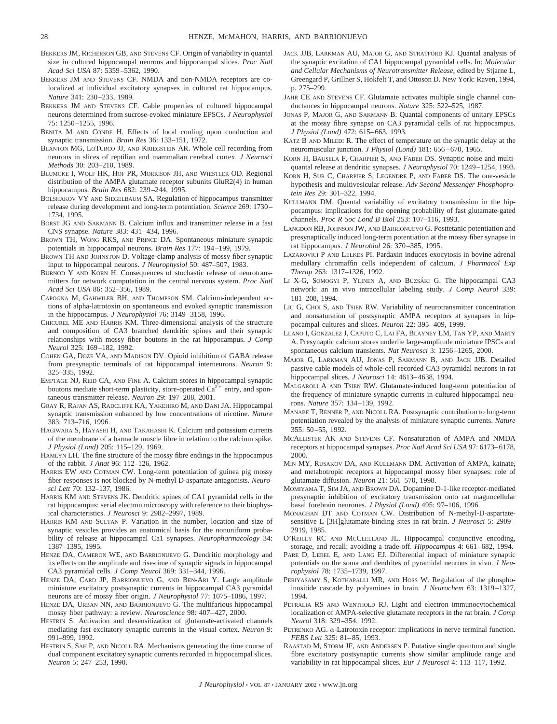- BEKKERS JM, RICHERSON GB, AND STEVENS CF. Origin of variability in quantal size in cultured hippocampal neurons and hippocampal slices. *Proc Natl Acad Sci USA* 87: 5359–5362, 1990.
- BEKKERS JM AND STEVENS CF. NMDA and non-NMDA receptors are colocalized at individual excitatory synapses in cultured rat hippocampus. *Nature* 341: 230–233, 1989.
- BEKKERS JM AND STEVENS CF. Cable properties of cultured hippocampal neurons determined from sucrose-evoked miniature EPSCs. *J Neurophysiol* 75: 1250–1255, 1996.
- BENITA M AND CONDE H. Effects of local cooling upon conduction and synaptic transmission. *Brain Res* 36: 133–151, 1972.
- BLANTON MG, LOTURCO JJ, AND KRIEGSTEIN AR. Whole cell recording from neurons in slices of reptilian and mammalian cerebral cortex. *J Neurosci Methods* 30: 203–210, 1989.
- BLUMCKE I, WOLF HK, HOF PR, MORRISON JH, AND WIESTLER OD. Regional distribution of the AMPA glutamate receptor subunits GluR2(4) in human hippocampus. *Brain Res* 682: 239–244, 1995.
- BOLSHAKOV VY AND SIEGELBAUM SA. Regulation of hippocampus transmitter release during development and long-term potentiation. *Science* 269: 1730– 1734, 1995.
- BORST JG AND SAKMANN B. Calcium influx and transmitter release in a fast CNS synapse. *Nature* 383: 431–434, 1996.
- BROWN TH, WONG RKS, AND PRINCE DA. Spontaneous miniature synaptic potentials in hippocampal neurons. *Brain Res* 177: 194–199, 1979.
- BROWN TH AND JOHNSTON D. Voltage-clamp analysis of mossy fiber synaptic input to hippocampal neurons. *J Neurophysiol* 50: 487–507, 1983.
- BURNOD Y AND KORN H. Consequences of stochastic release of neurotransmitters for network computation in the central nervous system. *Proc Natl Acad Sci USA* 86: 352–356, 1989.
- CAPOGNA M, GAHWILER BH, AND THOMPSON SM. Calcium-independent actions of alpha-latrotoxin on spontaneous and evoked synaptic transmission in the hippocampus. *J Neurophysiol* 76: 3149–3158, 1996.
- CHICUREL ME AND HARRIS KM. Three-dimensional analysis of the structure and composition of CA3 branched dendritic spines and their synaptic relationships with mossy fiber boutons in the rat hippocampus. *J Comp Neurol* 325: 169–182, 1992.
- COHEN GA, DOZE VA, AND MADISON DV. Opioid inhibition of GABA release from presynaptic terminals of rat hippocampal interneurons. *Neuron* 9: 325–335, 1992.
- EMPTAGE NJ, REID CA, AND FINE A. Calcium stores in hippocampal synaptic boutons mediate short-term plasticity, store-operated  $Ca^{2+}$  entry, and spontaneous transmitter release. *Neuron* 29: 197–208, 2001.
- GRAY R, RAJAN AS, RADCLIFFE KA, YAKEHIRO M, AND DANI JA. Hippocampal synaptic transmission enhanced by low concentrations of nicotine. *Nature* 383: 713–716, 1996.
- HAGIWARA S, HAYASHI H, AND TAKAHASHI K. Calcium and potassium currents of the membrane of a barnacle muscle fibre in relation to the calcium spike. *J Physiol (Lond)* 205: 115–129, 1969.
- HAMLYN LH. The fine structure of the mossy fibre endings in the hippocampus of the rabbit. *J Anat* 96: 112–126, 1962.
- HARRIS EW AND COTMAN CW. Long-term potentiation of guinea pig mossy fiber responses is not blocked by N-methyl D-aspartate antagonists. *Neurosci Lett* 70: 132–137, 1986.
- HARRIS KM AND STEVENS JK. Dendritic spines of CA1 pyramidal cells in the rat hippocampus: serial electron microscopy with reference to their biophysical characteristics. *J Neurosci* 9: 2982–2997, 1989.
- HARRIS KM AND SULTAN P. Variation in the number, location and size of synaptic vesicles provides an anatomical basis for the nonuniform probability of release at hippocampal Ca1 synapses. *Neuropharmacology* 34: 1387–1395, 1995.
- HENZE DA, CAMERON WE, AND BARRIONUEVO G. Dendritic morphology and its effects on the amplitude and rise-time of synaptic signals in hippocampal CA3 pyramidal cells. *J Comp Neurol* 369: 331–344, 1996.
- HENZE DA, CARD JP, BARRIONUEVO G, AND BEN-ARI Y. Large amplitude miniature excitatory postsynaptic currents in hippocampal CA3 pyramidal neurons are of mossy fiber origin. *J Neurophysiol* 77: 1075–1086, 1997.
- HENZE DA, URBAN NN, AND BARRIONUEVO G. The multifarious hippocampal mossy fiber pathway: a review. *Neuroscience* 98: 407–427, 2000.
- HESTRIN S. Activation and desensitization of glutamate-activated channels mediating fast excitatory synaptic currents in the visual cortex. *Neuron* 9: 991–999, 1992.
- HESTRIN S, SAH P, AND NICOLL RA. Mechanisms generating the time course of dual component excitatory synaptic currents recorded in hippocampal slices. *Neuron* 5: 247–253, 1990.
- JACK JJB, LARKMAN AU, MAJOR G, AND STRATFORD KJ. Quantal analysis of the synaptic excitation of CA1 hippocampal pyramidal cells. In: *Molecular and Cellular Mechanisms of Neurotransmitter Release,* edited by Stjarne L, Greengard P, Grillner S, Hokfelt T, and Ottoson D. New York: Raven, 1994, p. 275–299.
- JAHR CE AND STEVENS CF. Glutamate activates multiple single channel conductances in hippocampal neurons. *Nature* 325: 522–525, 1987.
- JONAS P, MAJOR G, AND SAKMANN B. Quantal components of unitary EPSCs at the mossy fibre synapse on CA3 pyramidal cells of rat hippocampus. *J Physiol (Lond)* 472: 615–663, 1993.
- KATZ B AND MILEDI R. The effect of temperature on the synaptic delay at the neuromuscular junction. *J Physiol (Lond)* 181: 656–670, 1965.
- KORN H, BAUSELA F, CHARPIER S, AND FABER DS. Synaptic noise and multiquantal release at dendritic synapses. *J Neurophysiol* 70: 1249–1254, 1993.
- KORN H, SUR C, CHARPIER S, LEGENDRE P, AND FABER DS. The one-vesicle hypothesis and multivesicular release. *Adv Second Messenger Phosphoprotein Res* 29: 301–322, 1994.
- KULLMANN DM. Quantal variability of excitatory transmission in the hippocampus: implications for the opening probability of fast glutamate-gated channels. *Proc R Soc Lond B Biol* 253: 107–116, 1993.
- LANGDON RB, JOHNSON JW, AND BARRIONUEVO G. Posttetanic potentiation and presynaptically induced long-term potentiation at the mossy fiber synapse in rat hippocampus. *J Neurobiol* 26: 370–385, 1995.
- LAZAROVICI P AND LELKES PI. Pardaxin induces exocytosis in bovine adrenal medullary chromaffin cells independent of calcium. *J Pharmacol Exp Therap* 263: 1317–1326, 1992.
- LI X-G, SOMOGYI P, YLINEN A, AND BUZSÁKI G. The hippocampal CA3 network: an in vivo intracellular labeling study. *J Comp Neurol* 339: 181–208, 1994.
- LIU G, CHOI S, AND TSIEN RW. Variability of neurotransmitter concentration and nonsaturation of postsynaptic AMPA receptors at synapses in hippocampal cultures and slices. *Neuron* 22: 395–409, 1999.
- LLANO I, GONZALEZ J, CAPUTO C, LAI FA, BLAYNEY LM, TAN YP, AND MARTY A. Presynaptic calcium stores underlie large-amplitude miniature IPSCs and spontaneous calcium transients. *Nat Neurosci* 3: 1256–1265, 2000.
- MAJOR G, LARKMAN AU, JONAS P, SAKMANN B, AND JACK JJB. Detailed passive cable models of whole-cell recorded CA3 pyramidal neurons in rat hippocampal slices. *J Neurosci* 14: 4613–4638, 1994.
- MALGAROLI A AND TSIEN RW. Glutamate-induced long-term potentiation of the frequency of miniature synaptic currents in cultured hippocampal neurons. *Nature* 357: 134–139, 1992.
- MANABE T, RENNER P, AND NICOLL RA. Postsynaptic contribution to long-term potentiation revealed by the analysis of miniature synaptic currents. *Nature* 355: 50–55, 1992.
- MCALLISTER AK AND STEVENS CF. Nonsaturation of AMPA and NMDA receptors at hippocampal synapses. *Proc Natl Acad Sci USA* 97: 6173–6178, 2000.
- MIN MY, RUSAKOV DA, AND KULLMANN DM. Activation of AMPA, kainate, and metabotropic receptors at hippocampal mossy fiber synapses: role of glutamate diffusion. *Neuron* 21: 561–570, 1998.
- MOMIYAMA T, SIM JA, AND BROWN DA. Dopamine D-1-like receptor-mediated presynaptic inhibition of excitatory transmission onto rat magnocellular basal forebrain neurones. *J Physiol (Lond)* 495: 97–106, 1996.
- MONAGHAN DT AND COTMAN CW. Distribution of N-methyl-D-aspartatesensitive L-[3H]glutamate-binding sites in rat brain. *J Neurosci* 5: 2909– 2919, 1985.
- O'REILLY RC AND MCCLELLAND JL. Hippocampal conjunctive encoding, storage, and recall: avoiding a trade-off. *Hippocampus* 4: 661–682, 1994.
- PARE D, LEBEL E, AND LANG EJ. Differential impact of miniature synaptic potentials on the soma and dendrites of pyramidal neurons in vivo. *J Neurophysiol* 78: 1735–1739, 1997.
- PERIYASAMY S, KOTHAPALLI MR, AND HOSS W. Regulation of the phosphoinositide cascade by polyamines in brain. *J Neurochem* 63: 1319–1327, 1994.
- PETRALIA RS AND WENTHOLD RJ. Light and electron immunocytochemical localization of AMPA-selective glutamate receptors in the rat brain. *J Comp Neurol* 318: 329–354, 1992.
- PETRENKO AG.  $\alpha$ -Latrotoxin receptor: implications in nerve terminal function. *FEBS Lett* 325: 81–85, 1993.
- RAASTAD M, STORM JF, AND ANDERSEN P. Putative single quantum and single fibre excitatory postsynaptic currents show similar amplitude range and variability in rat hippocampal slices. *Eur J Neurosci* 4: 113–117, 1992.